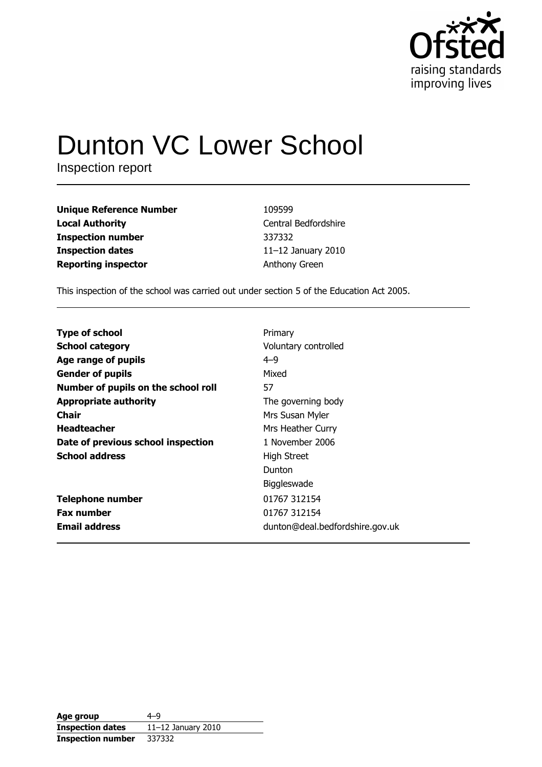

# **Dunton VC Lower School**

Inspection report

| 109599                |
|-----------------------|
| Central Bedfordshire  |
| 337332                |
| 11 $-12$ January 2010 |
| Anthony Green         |
|                       |

This inspection of the school was carried out under section 5 of the Education Act 2005.

| <b>Type of school</b>               | Primary                         |
|-------------------------------------|---------------------------------|
| <b>School category</b>              | Voluntary controlled            |
| Age range of pupils                 | $4 - 9$                         |
| <b>Gender of pupils</b>             | Mixed                           |
| Number of pupils on the school roll | 57                              |
| <b>Appropriate authority</b>        | The governing body              |
| <b>Chair</b>                        | Mrs Susan Myler                 |
| <b>Headteacher</b>                  | Mrs Heather Curry               |
| Date of previous school inspection  | 1 November 2006                 |
| <b>School address</b>               | <b>High Street</b>              |
|                                     | Dunton                          |
|                                     | Biggleswade                     |
| <b>Telephone number</b>             | 01767 312154                    |
| <b>Fax number</b>                   | 01767 312154                    |
| <b>Email address</b>                | dunton@deal.bedfordshire.gov.uk |

| Age group                | $4 - 9$              |
|--------------------------|----------------------|
| <b>Inspection dates</b>  | $11-12$ January 2010 |
| <b>Inspection number</b> | 337332               |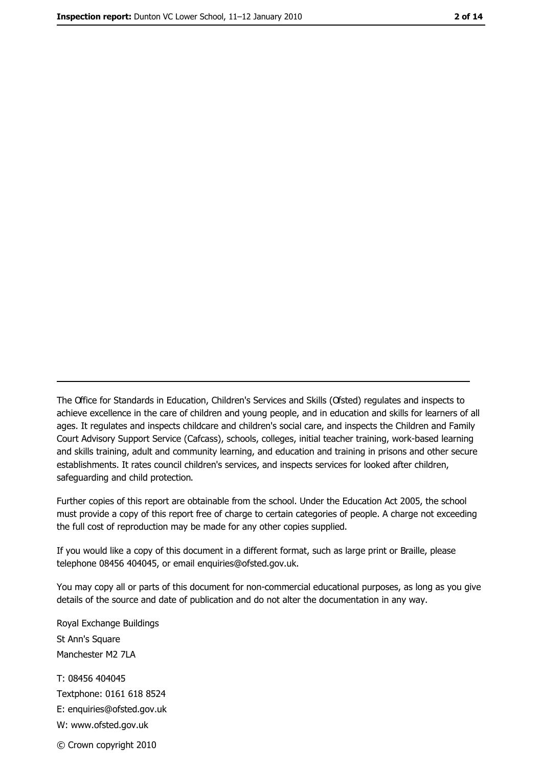The Office for Standards in Education, Children's Services and Skills (Ofsted) regulates and inspects to achieve excellence in the care of children and young people, and in education and skills for learners of all ages. It regulates and inspects childcare and children's social care, and inspects the Children and Family Court Advisory Support Service (Cafcass), schools, colleges, initial teacher training, work-based learning and skills training, adult and community learning, and education and training in prisons and other secure establishments. It rates council children's services, and inspects services for looked after children, safequarding and child protection.

Further copies of this report are obtainable from the school. Under the Education Act 2005, the school must provide a copy of this report free of charge to certain categories of people. A charge not exceeding the full cost of reproduction may be made for any other copies supplied.

If you would like a copy of this document in a different format, such as large print or Braille, please telephone 08456 404045, or email enquiries@ofsted.gov.uk.

You may copy all or parts of this document for non-commercial educational purposes, as long as you give details of the source and date of publication and do not alter the documentation in any way.

Royal Exchange Buildings St Ann's Square Manchester M2 7LA T: 08456 404045 Textphone: 0161 618 8524 E: enquiries@ofsted.gov.uk W: www.ofsted.gov.uk © Crown copyright 2010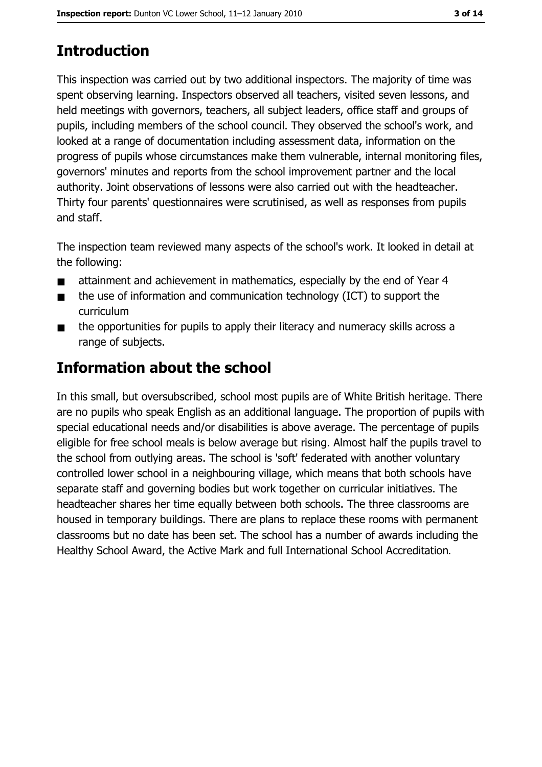# **Introduction**

This inspection was carried out by two additional inspectors. The majority of time was spent observing learning. Inspectors observed all teachers, visited seven lessons, and held meetings with governors, teachers, all subject leaders, office staff and groups of pupils, including members of the school council. They observed the school's work, and looked at a range of documentation including assessment data, information on the progress of pupils whose circumstances make them vulnerable, internal monitoring files, governors' minutes and reports from the school improvement partner and the local authority. Joint observations of lessons were also carried out with the headteacher. Thirty four parents' questionnaires were scrutinised, as well as responses from pupils and staff.

The inspection team reviewed many aspects of the school's work. It looked in detail at the following:

- attainment and achievement in mathematics, especially by the end of Year 4  $\blacksquare$
- the use of information and communication technology (ICT) to support the  $\blacksquare$ curriculum
- the opportunities for pupils to apply their literacy and numeracy skills across a  $\blacksquare$ range of subjects.

# **Information about the school**

In this small, but oversubscribed, school most pupils are of White British heritage. There are no pupils who speak English as an additional language. The proportion of pupils with special educational needs and/or disabilities is above average. The percentage of pupils eligible for free school meals is below average but rising. Almost half the pupils travel to the school from outlying areas. The school is 'soft' federated with another voluntary controlled lower school in a neighbouring village, which means that both schools have separate staff and governing bodies but work together on curricular initiatives. The headteacher shares her time equally between both schools. The three classrooms are housed in temporary buildings. There are plans to replace these rooms with permanent classrooms but no date has been set. The school has a number of awards including the Healthy School Award, the Active Mark and full International School Accreditation.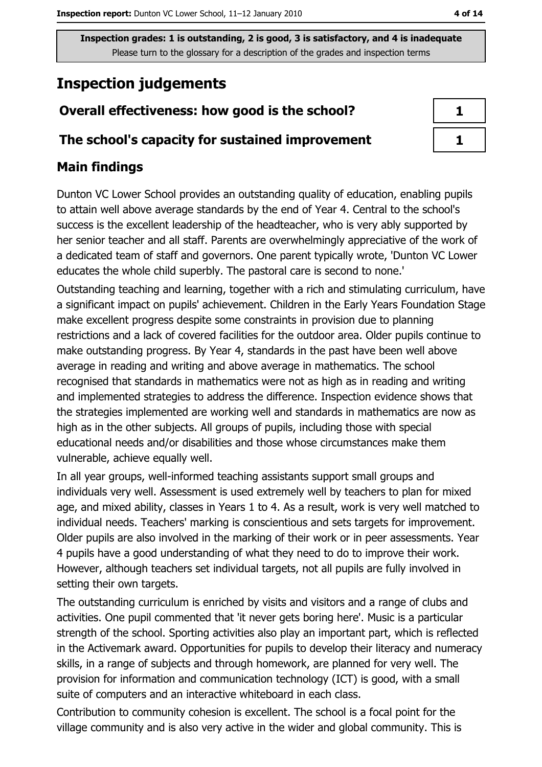# **Inspection judgements**

## Overall effectiveness: how good is the school?

#### The school's capacity for sustained improvement

## **Main findings**

Dunton VC Lower School provides an outstanding quality of education, enabling pupils to attain well above average standards by the end of Year 4. Central to the school's success is the excellent leadership of the headteacher, who is very ably supported by her senior teacher and all staff. Parents are overwhelmingly appreciative of the work of a dedicated team of staff and governors. One parent typically wrote, 'Dunton VC Lower educates the whole child superbly. The pastoral care is second to none.'

Outstanding teaching and learning, together with a rich and stimulating curriculum, have a significant impact on pupils' achievement. Children in the Early Years Foundation Stage make excellent progress despite some constraints in provision due to planning restrictions and a lack of covered facilities for the outdoor area. Older pupils continue to make outstanding progress. By Year 4, standards in the past have been well above average in reading and writing and above average in mathematics. The school recognised that standards in mathematics were not as high as in reading and writing and implemented strategies to address the difference. Inspection evidence shows that the strategies implemented are working well and standards in mathematics are now as high as in the other subjects. All groups of pupils, including those with special educational needs and/or disabilities and those whose circumstances make them vulnerable, achieve equally well.

In all year groups, well-informed teaching assistants support small groups and individuals very well. Assessment is used extremely well by teachers to plan for mixed age, and mixed ability, classes in Years 1 to 4. As a result, work is very well matched to individual needs. Teachers' marking is conscientious and sets targets for improvement. Older pupils are also involved in the marking of their work or in peer assessments. Year 4 pupils have a good understanding of what they need to do to improve their work. However, although teachers set individual targets, not all pupils are fully involved in setting their own targets.

The outstanding curriculum is enriched by visits and visitors and a range of clubs and activities. One pupil commented that 'it never gets boring here'. Music is a particular strength of the school. Sporting activities also play an important part, which is reflected in the Activemark award. Opportunities for pupils to develop their literacy and numeracy skills, in a range of subjects and through homework, are planned for very well. The provision for information and communication technology (ICT) is good, with a small suite of computers and an interactive whiteboard in each class.

Contribution to community cohesion is excellent. The school is a focal point for the village community and is also very active in the wider and global community. This is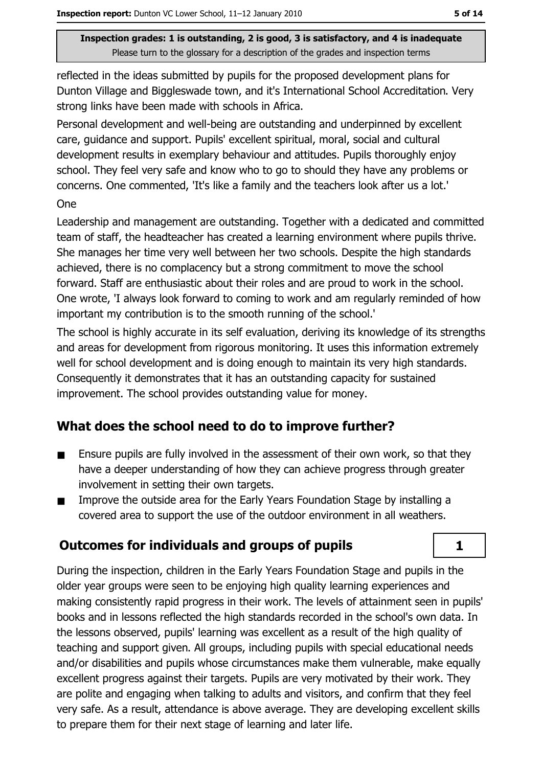reflected in the ideas submitted by pupils for the proposed development plans for Dunton Village and Biggleswade town, and it's International School Accreditation. Very strong links have been made with schools in Africa.

Personal development and well-being are outstanding and underpinned by excellent care, quidance and support. Pupils' excellent spiritual, moral, social and cultural development results in exemplary behaviour and attitudes. Pupils thoroughly enjoy school. They feel very safe and know who to go to should they have any problems or concerns. One commented, 'It's like a family and the teachers look after us a lot.' **One** 

Leadership and management are outstanding. Together with a dedicated and committed team of staff, the headteacher has created a learning environment where pupils thrive. She manages her time very well between her two schools. Despite the high standards achieved, there is no complacency but a strong commitment to move the school forward. Staff are enthusiastic about their roles and are proud to work in the school. One wrote, 'I always look forward to coming to work and am regularly reminded of how important my contribution is to the smooth running of the school."

The school is highly accurate in its self evaluation, deriving its knowledge of its strengths and areas for development from rigorous monitoring. It uses this information extremely well for school development and is doing enough to maintain its very high standards. Consequently it demonstrates that it has an outstanding capacity for sustained improvement. The school provides outstanding value for money.

## What does the school need to do to improve further?

- Ensure pupils are fully involved in the assessment of their own work, so that they  $\blacksquare$ have a deeper understanding of how they can achieve progress through greater involvement in setting their own targets.
- Improve the outside area for the Early Years Foundation Stage by installing a  $\blacksquare$ covered area to support the use of the outdoor environment in all weathers.

## **Outcomes for individuals and groups of pupils**

During the inspection, children in the Early Years Foundation Stage and pupils in the older year groups were seen to be enjoying high quality learning experiences and making consistently rapid progress in their work. The levels of attainment seen in pupils' books and in lessons reflected the high standards recorded in the school's own data. In the lessons observed, pupils' learning was excellent as a result of the high quality of teaching and support given. All groups, including pupils with special educational needs and/or disabilities and pupils whose circumstances make them vulnerable, make equally excellent progress against their targets. Pupils are very motivated by their work. They are polite and engaging when talking to adults and visitors, and confirm that they feel very safe. As a result, attendance is above average. They are developing excellent skills to prepare them for their next stage of learning and later life.

 $\mathbf{1}$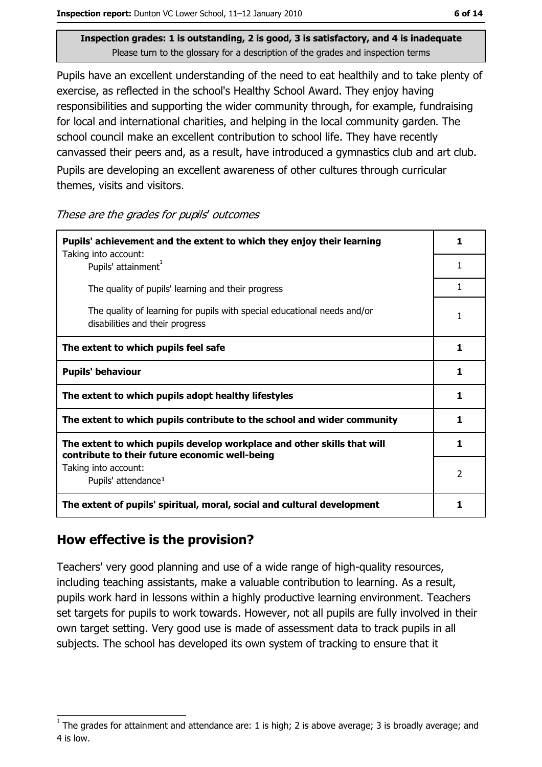Pupils have an excellent understanding of the need to eat healthily and to take plenty of exercise, as reflected in the school's Healthy School Award. They enjoy having responsibilities and supporting the wider community through, for example, fundraising for local and international charities, and helping in the local community garden. The school council make an excellent contribution to school life. They have recently canvassed their peers and, as a result, have introduced a gymnastics club and art club. Pupils are developing an excellent awareness of other cultures through curricular themes, visits and visitors.

These are the grades for pupils' outcomes

| Pupils' achievement and the extent to which they enjoy their learning                                                     |   |  |
|---------------------------------------------------------------------------------------------------------------------------|---|--|
| Taking into account:<br>Pupils' attainment <sup>1</sup>                                                                   | 1 |  |
| The quality of pupils' learning and their progress                                                                        | 1 |  |
| The quality of learning for pupils with special educational needs and/or<br>disabilities and their progress               | 1 |  |
| The extent to which pupils feel safe                                                                                      | 1 |  |
| <b>Pupils' behaviour</b>                                                                                                  | 1 |  |
| The extent to which pupils adopt healthy lifestyles                                                                       | 1 |  |
| The extent to which pupils contribute to the school and wider community                                                   | 1 |  |
| The extent to which pupils develop workplace and other skills that will<br>contribute to their future economic well-being | 1 |  |
| Taking into account:<br>Pupils' attendance <sup>1</sup>                                                                   | 2 |  |
| The extent of pupils' spiritual, moral, social and cultural development                                                   |   |  |

#### How effective is the provision?

Teachers' very good planning and use of a wide range of high-quality resources, including teaching assistants, make a valuable contribution to learning. As a result, pupils work hard in lessons within a highly productive learning environment. Teachers set targets for pupils to work towards. However, not all pupils are fully involved in their own target setting. Very good use is made of assessment data to track pupils in all subjects. The school has developed its own system of tracking to ensure that it

The grades for attainment and attendance are: 1 is high; 2 is above average; 3 is broadly average; and 4 is low.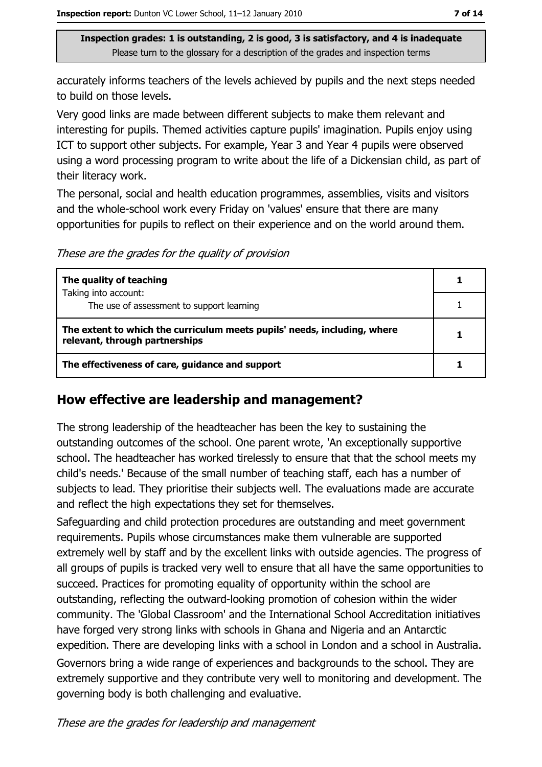accurately informs teachers of the levels achieved by pupils and the next steps needed to build on those levels.

Very good links are made between different subjects to make them relevant and interesting for pupils. Themed activities capture pupils' imagination. Pupils enjoy using ICT to support other subjects. For example, Year 3 and Year 4 pupils were observed using a word processing program to write about the life of a Dickensian child, as part of their literacy work.

The personal, social and health education programmes, assemblies, visits and visitors and the whole-school work every Friday on 'values' ensure that there are many opportunities for pupils to reflect on their experience and on the world around them.

These are the grades for the quality of provision

| The quality of teaching                                                                                    |  |
|------------------------------------------------------------------------------------------------------------|--|
| Taking into account:<br>The use of assessment to support learning                                          |  |
| The extent to which the curriculum meets pupils' needs, including, where<br>relevant, through partnerships |  |
| The effectiveness of care, guidance and support                                                            |  |

#### How effective are leadership and management?

The strong leadership of the headteacher has been the key to sustaining the outstanding outcomes of the school. One parent wrote, 'An exceptionally supportive school. The headteacher has worked tirelessly to ensure that that the school meets my child's needs.' Because of the small number of teaching staff, each has a number of subjects to lead. They prioritise their subjects well. The evaluations made are accurate and reflect the high expectations they set for themselves.

Safeguarding and child protection procedures are outstanding and meet government requirements. Pupils whose circumstances make them vulnerable are supported extremely well by staff and by the excellent links with outside agencies. The progress of all groups of pupils is tracked very well to ensure that all have the same opportunities to succeed. Practices for promoting equality of opportunity within the school are outstanding, reflecting the outward-looking promotion of cohesion within the wider community. The 'Global Classroom' and the International School Accreditation initiatives have forged very strong links with schools in Ghana and Nigeria and an Antarctic expedition. There are developing links with a school in London and a school in Australia. Governors bring a wide range of experiences and backgrounds to the school. They are extremely supportive and they contribute very well to monitoring and development. The governing body is both challenging and evaluative.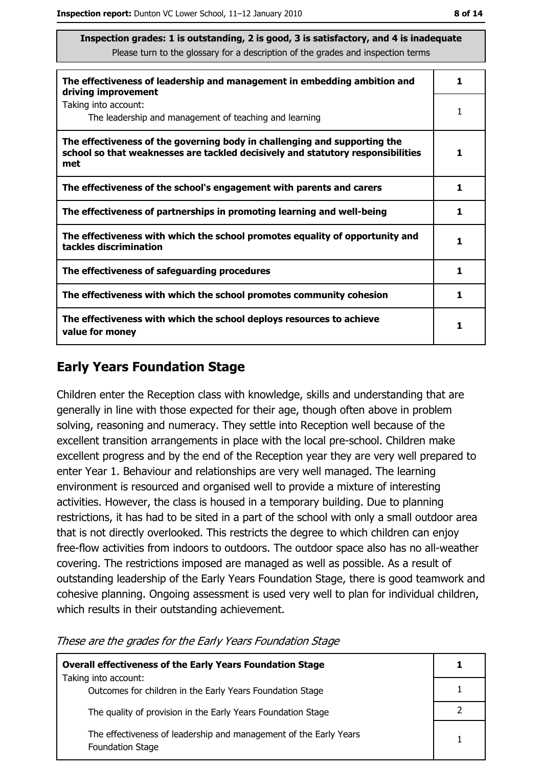| The effectiveness of leadership and management in embedding ambition and<br>driving improvement                                                                     | 1 |
|---------------------------------------------------------------------------------------------------------------------------------------------------------------------|---|
| Taking into account:<br>The leadership and management of teaching and learning                                                                                      |   |
| The effectiveness of the governing body in challenging and supporting the<br>school so that weaknesses are tackled decisively and statutory responsibilities<br>met |   |
| The effectiveness of the school's engagement with parents and carers                                                                                                | 1 |
| The effectiveness of partnerships in promoting learning and well-being                                                                                              |   |
| The effectiveness with which the school promotes equality of opportunity and<br>tackles discrimination                                                              |   |
| The effectiveness of safeguarding procedures                                                                                                                        |   |
| The effectiveness with which the school promotes community cohesion                                                                                                 | 1 |
| The effectiveness with which the school deploys resources to achieve<br>value for money                                                                             |   |

#### **Early Years Foundation Stage**

Children enter the Reception class with knowledge, skills and understanding that are generally in line with those expected for their age, though often above in problem solving, reasoning and numeracy. They settle into Reception well because of the excellent transition arrangements in place with the local pre-school. Children make excellent progress and by the end of the Reception year they are very well prepared to enter Year 1. Behaviour and relationships are very well managed. The learning environment is resourced and organised well to provide a mixture of interesting activities. However, the class is housed in a temporary building. Due to planning restrictions, it has had to be sited in a part of the school with only a small outdoor area that is not directly overlooked. This restricts the degree to which children can enjoy free-flow activities from indoors to outdoors. The outdoor space also has no all-weather covering. The restrictions imposed are managed as well as possible. As a result of outstanding leadership of the Early Years Foundation Stage, there is good teamwork and cohesive planning. Ongoing assessment is used very well to plan for individual children, which results in their outstanding achievement.

These are the grades for the Early Years Foundation Stage

| <b>Overall effectiveness of the Early Years Foundation Stage</b>                             |  |
|----------------------------------------------------------------------------------------------|--|
| Taking into account:<br>Outcomes for children in the Early Years Foundation Stage            |  |
| The quality of provision in the Early Years Foundation Stage                                 |  |
| The effectiveness of leadership and management of the Early Years<br><b>Foundation Stage</b> |  |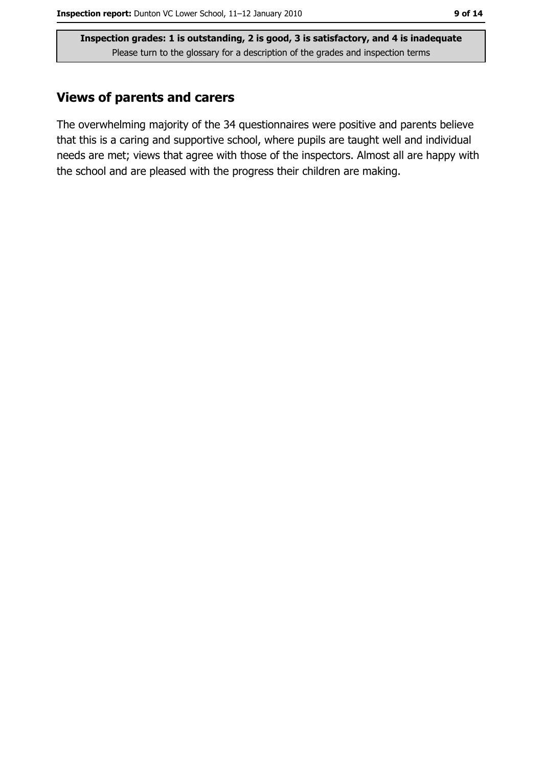#### **Views of parents and carers**

The overwhelming majority of the 34 questionnaires were positive and parents believe that this is a caring and supportive school, where pupils are taught well and individual needs are met; views that agree with those of the inspectors. Almost all are happy with the school and are pleased with the progress their children are making.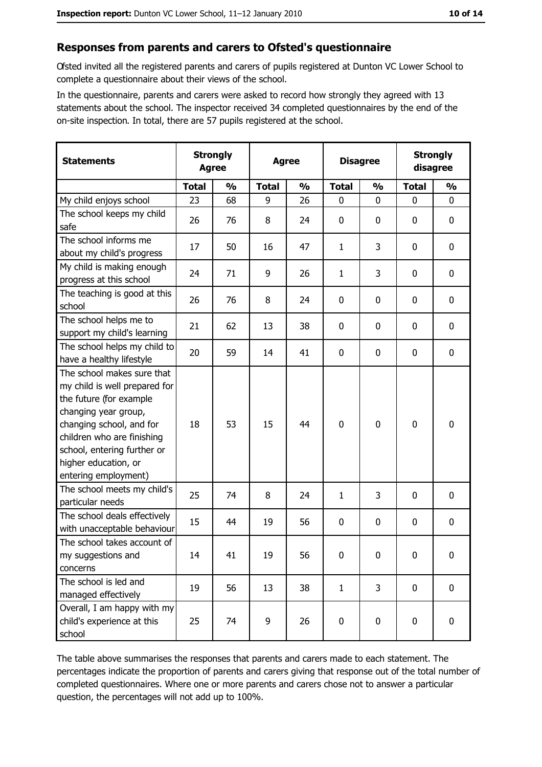#### Responses from parents and carers to Ofsted's questionnaire

Ofsted invited all the registered parents and carers of pupils registered at Dunton VC Lower School to complete a questionnaire about their views of the school.

In the questionnaire, parents and carers were asked to record how strongly they agreed with 13 statements about the school. The inspector received 34 completed questionnaires by the end of the on-site inspection. In total, there are 57 pupils registered at the school.

| <b>Statements</b>                                                                                                                                                                                                                                       | <b>Strongly</b><br><b>Agree</b> |               | <b>Agree</b> |               | <b>Disagree</b> |               | <b>Strongly</b><br>disagree |               |
|---------------------------------------------------------------------------------------------------------------------------------------------------------------------------------------------------------------------------------------------------------|---------------------------------|---------------|--------------|---------------|-----------------|---------------|-----------------------------|---------------|
|                                                                                                                                                                                                                                                         | <b>Total</b>                    | $\frac{0}{0}$ | <b>Total</b> | $\frac{0}{0}$ | <b>Total</b>    | $\frac{0}{0}$ | <b>Total</b>                | $\frac{0}{0}$ |
| My child enjoys school                                                                                                                                                                                                                                  | 23                              | 68            | 9            | 26            | $\mathbf 0$     | 0             | 0                           | $\mathbf{0}$  |
| The school keeps my child<br>safe                                                                                                                                                                                                                       | 26                              | 76            | 8            | 24            | 0               | 0             | 0                           | 0             |
| The school informs me<br>about my child's progress                                                                                                                                                                                                      | 17                              | 50            | 16           | 47            | $\mathbf{1}$    | 3             | 0                           | 0             |
| My child is making enough<br>progress at this school                                                                                                                                                                                                    | 24                              | 71            | 9            | 26            | $\mathbf{1}$    | 3             | 0                           | 0             |
| The teaching is good at this<br>school                                                                                                                                                                                                                  | 26                              | 76            | 8            | 24            | $\mathbf 0$     | 0             | 0                           | $\mathbf 0$   |
| The school helps me to<br>support my child's learning                                                                                                                                                                                                   | 21                              | 62            | 13           | 38            | $\mathbf 0$     | 0             | 0                           | 0             |
| The school helps my child to<br>have a healthy lifestyle                                                                                                                                                                                                | 20                              | 59            | 14           | 41            | 0               | 0             | 0                           | $\mathbf 0$   |
| The school makes sure that<br>my child is well prepared for<br>the future (for example<br>changing year group,<br>changing school, and for<br>children who are finishing<br>school, entering further or<br>higher education, or<br>entering employment) | 18                              | 53            | 15           | 44            | $\mathbf 0$     | 0             | $\mathbf 0$                 | $\mathbf 0$   |
| The school meets my child's<br>particular needs                                                                                                                                                                                                         | 25                              | 74            | 8            | 24            | $\mathbf{1}$    | 3             | 0                           | $\mathbf 0$   |
| The school deals effectively<br>with unacceptable behaviour                                                                                                                                                                                             | 15                              | 44            | 19           | 56            | 0               | 0             | 0                           | 0             |
| The school takes account of<br>my suggestions and<br>concerns                                                                                                                                                                                           | 14                              | 41            | 19           | 56            | 0               | 0             | 0                           | 0             |
| The school is led and<br>managed effectively                                                                                                                                                                                                            | 19                              | 56            | 13           | 38            | $\mathbf{1}$    | 3             | $\mathbf 0$                 | $\mathbf 0$   |
| Overall, I am happy with my<br>child's experience at this<br>school                                                                                                                                                                                     | 25                              | 74            | 9            | 26            | $\pmb{0}$       | 0             | $\mathbf 0$                 | 0             |

The table above summarises the responses that parents and carers made to each statement. The percentages indicate the proportion of parents and carers giving that response out of the total number of completed questionnaires. Where one or more parents and carers chose not to answer a particular question, the percentages will not add up to 100%.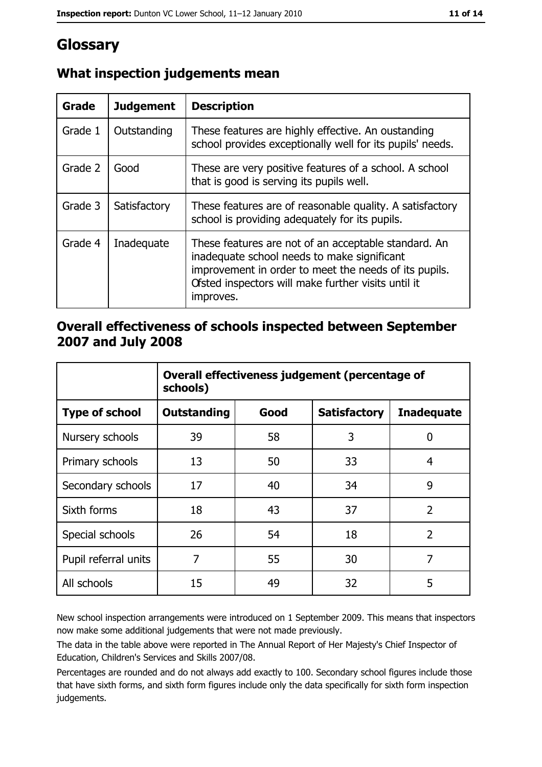# Glossary

| Grade   | <b>Judgement</b> | <b>Description</b>                                                                                                                                                                                                               |  |
|---------|------------------|----------------------------------------------------------------------------------------------------------------------------------------------------------------------------------------------------------------------------------|--|
| Grade 1 | Outstanding      | These features are highly effective. An oustanding<br>school provides exceptionally well for its pupils' needs.                                                                                                                  |  |
| Grade 2 | Good             | These are very positive features of a school. A school<br>that is good is serving its pupils well.                                                                                                                               |  |
| Grade 3 | Satisfactory     | These features are of reasonable quality. A satisfactory<br>school is providing adequately for its pupils.                                                                                                                       |  |
| Grade 4 | Inadequate       | These features are not of an acceptable standard. An<br>inadequate school needs to make significant<br>improvement in order to meet the needs of its pupils.<br>Ofsted inspectors will make further visits until it<br>improves. |  |

## What inspection judgements mean

### Overall effectiveness of schools inspected between September 2007 and July 2008

|                       | Overall effectiveness judgement (percentage of<br>schools) |      |                     |                   |
|-----------------------|------------------------------------------------------------|------|---------------------|-------------------|
| <b>Type of school</b> | <b>Outstanding</b>                                         | Good | <b>Satisfactory</b> | <b>Inadequate</b> |
| Nursery schools       | 39                                                         | 58   | 3                   | 0                 |
| Primary schools       | 13                                                         | 50   | 33                  | 4                 |
| Secondary schools     | 17                                                         | 40   | 34                  | 9                 |
| Sixth forms           | 18                                                         | 43   | 37                  | $\overline{2}$    |
| Special schools       | 26                                                         | 54   | 18                  | $\overline{2}$    |
| Pupil referral units  | 7                                                          | 55   | 30                  | 7                 |
| All schools           | 15                                                         | 49   | 32                  | 5                 |

New school inspection arrangements were introduced on 1 September 2009. This means that inspectors now make some additional judgements that were not made previously.

The data in the table above were reported in The Annual Report of Her Majesty's Chief Inspector of Education, Children's Services and Skills 2007/08.

Percentages are rounded and do not always add exactly to 100. Secondary school figures include those that have sixth forms, and sixth form figures include only the data specifically for sixth form inspection judgements.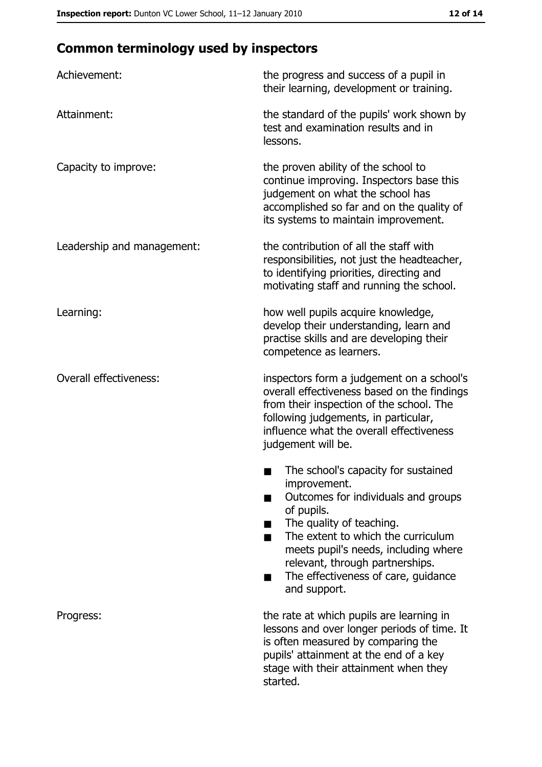# **Common terminology used by inspectors**

| Achievement:                  | the progress and success of a pupil in<br>their learning, development or training.                                                                                                                                                                                                                           |
|-------------------------------|--------------------------------------------------------------------------------------------------------------------------------------------------------------------------------------------------------------------------------------------------------------------------------------------------------------|
| Attainment:                   | the standard of the pupils' work shown by<br>test and examination results and in<br>lessons.                                                                                                                                                                                                                 |
| Capacity to improve:          | the proven ability of the school to<br>continue improving. Inspectors base this<br>judgement on what the school has<br>accomplished so far and on the quality of<br>its systems to maintain improvement.                                                                                                     |
| Leadership and management:    | the contribution of all the staff with<br>responsibilities, not just the headteacher,<br>to identifying priorities, directing and<br>motivating staff and running the school.                                                                                                                                |
| Learning:                     | how well pupils acquire knowledge,<br>develop their understanding, learn and<br>practise skills and are developing their<br>competence as learners.                                                                                                                                                          |
| <b>Overall effectiveness:</b> | inspectors form a judgement on a school's<br>overall effectiveness based on the findings<br>from their inspection of the school. The<br>following judgements, in particular,<br>influence what the overall effectiveness<br>judgement will be.                                                               |
|                               | The school's capacity for sustained<br>improvement.<br>Outcomes for individuals and groups<br>of pupils.<br>The quality of teaching.<br>The extent to which the curriculum<br>meets pupil's needs, including where<br>relevant, through partnerships.<br>The effectiveness of care, guidance<br>and support. |
| Progress:                     | the rate at which pupils are learning in<br>lessons and over longer periods of time. It<br>is often measured by comparing the<br>pupils' attainment at the end of a key<br>stage with their attainment when they<br>started.                                                                                 |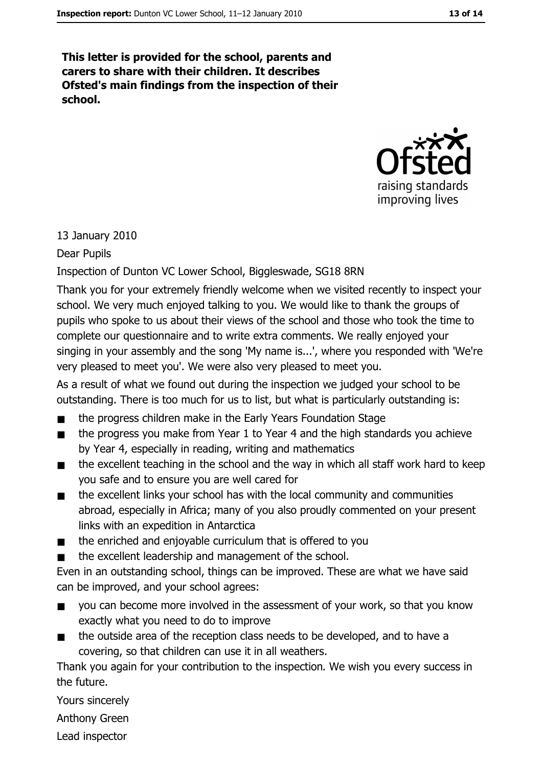This letter is provided for the school, parents and carers to share with their children. It describes Ofsted's main findings from the inspection of their school.



#### 13 January 2010

Dear Pupils

#### Inspection of Dunton VC Lower School, Biggleswade, SG18 8RN

Thank you for your extremely friendly welcome when we visited recently to inspect your school. We very much enjoyed talking to you. We would like to thank the groups of pupils who spoke to us about their views of the school and those who took the time to complete our questionnaire and to write extra comments. We really enjoyed your singing in your assembly and the song 'My name is...', where you responded with 'We're very pleased to meet you'. We were also very pleased to meet you.

As a result of what we found out during the inspection we judged your school to be outstanding. There is too much for us to list, but what is particularly outstanding is:

- the progress children make in the Early Years Foundation Stage  $\blacksquare$
- the progress you make from Year 1 to Year 4 and the high standards you achieve  $\blacksquare$ by Year 4, especially in reading, writing and mathematics
- the excellent teaching in the school and the way in which all staff work hard to keep  $\blacksquare$ you safe and to ensure you are well cared for
- the excellent links your school has with the local community and communities  $\blacksquare$ abroad, especially in Africa; many of you also proudly commented on your present links with an expedition in Antarctica
- the enriched and enjoyable curriculum that is offered to you  $\blacksquare$
- the excellent leadership and management of the school.  $\blacksquare$

Even in an outstanding school, things can be improved. These are what we have said can be improved, and your school agrees:

- you can become more involved in the assessment of your work, so that you know exactly what you need to do to improve
- the outside area of the reception class needs to be developed, and to have a  $\blacksquare$ covering, so that children can use it in all weathers.

Thank you again for your contribution to the inspection. We wish you every success in the future.

Yours sincerely

**Anthony Green** 

Lead inspector